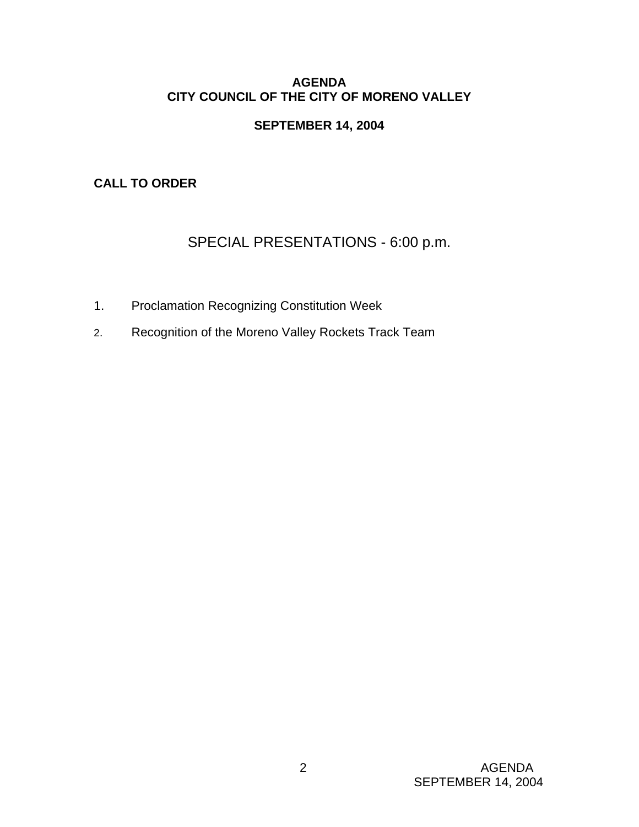# **AGENDA CITY COUNCIL OF THE CITY OF MORENO VALLEY**

# **SEPTEMBER 14, 2004**

**CALL TO ORDER** 

# SPECIAL PRESENTATIONS - 6:00 p.m.

- 1. Proclamation Recognizing Constitution Week
- 2. Recognition of the Moreno Valley Rockets Track Team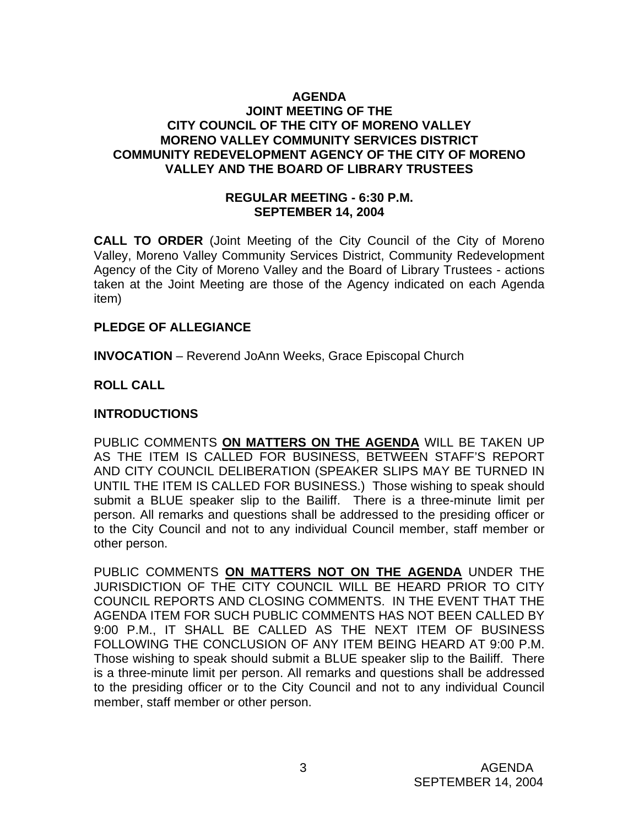#### **AGENDA JOINT MEETING OF THE CITY COUNCIL OF THE CITY OF MORENO VALLEY MORENO VALLEY COMMUNITY SERVICES DISTRICT COMMUNITY REDEVELOPMENT AGENCY OF THE CITY OF MORENO VALLEY AND THE BOARD OF LIBRARY TRUSTEES**

#### **REGULAR MEETING - 6:30 P.M. SEPTEMBER 14, 2004**

**CALL TO ORDER** (Joint Meeting of the City Council of the City of Moreno Valley, Moreno Valley Community Services District, Community Redevelopment Agency of the City of Moreno Valley and the Board of Library Trustees - actions taken at the Joint Meeting are those of the Agency indicated on each Agenda item)

## **PLEDGE OF ALLEGIANCE**

**INVOCATION** – Reverend JoAnn Weeks, Grace Episcopal Church

## **ROLL CALL**

## **INTRODUCTIONS**

PUBLIC COMMENTS **ON MATTERS ON THE AGENDA** WILL BE TAKEN UP AS THE ITEM IS CALLED FOR BUSINESS, BETWEEN STAFF'S REPORT AND CITY COUNCIL DELIBERATION (SPEAKER SLIPS MAY BE TURNED IN UNTIL THE ITEM IS CALLED FOR BUSINESS.) Those wishing to speak should submit a BLUE speaker slip to the Bailiff. There is a three-minute limit per person. All remarks and questions shall be addressed to the presiding officer or to the City Council and not to any individual Council member, staff member or other person.

PUBLIC COMMENTS **ON MATTERS NOT ON THE AGENDA** UNDER THE JURISDICTION OF THE CITY COUNCIL WILL BE HEARD PRIOR TO CITY COUNCIL REPORTS AND CLOSING COMMENTS. IN THE EVENT THAT THE AGENDA ITEM FOR SUCH PUBLIC COMMENTS HAS NOT BEEN CALLED BY 9:00 P.M., IT SHALL BE CALLED AS THE NEXT ITEM OF BUSINESS FOLLOWING THE CONCLUSION OF ANY ITEM BEING HEARD AT 9:00 P.M. Those wishing to speak should submit a BLUE speaker slip to the Bailiff. There is a three-minute limit per person. All remarks and questions shall be addressed to the presiding officer or to the City Council and not to any individual Council member, staff member or other person.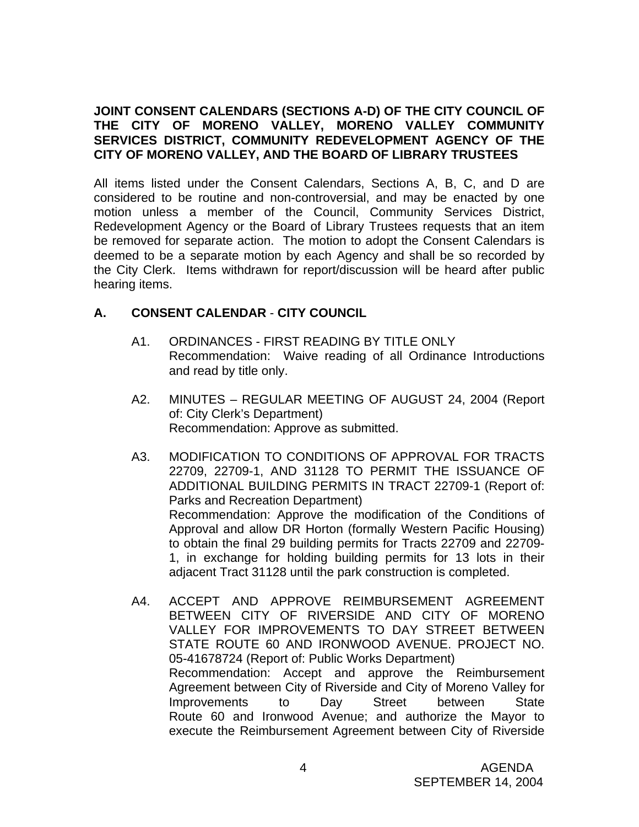# **JOINT CONSENT CALENDARS (SECTIONS A-D) OF THE CITY COUNCIL OF THE CITY OF MORENO VALLEY, MORENO VALLEY COMMUNITY SERVICES DISTRICT, COMMUNITY REDEVELOPMENT AGENCY OF THE CITY OF MORENO VALLEY, AND THE BOARD OF LIBRARY TRUSTEES**

All items listed under the Consent Calendars, Sections A, B, C, and D are considered to be routine and non-controversial, and may be enacted by one motion unless a member of the Council, Community Services District, Redevelopment Agency or the Board of Library Trustees requests that an item be removed for separate action. The motion to adopt the Consent Calendars is deemed to be a separate motion by each Agency and shall be so recorded by the City Clerk. Items withdrawn for report/discussion will be heard after public hearing items.

# **A. CONSENT CALENDAR** - **CITY COUNCIL**

- A1. ORDINANCES FIRST READING BY TITLE ONLY Recommendation: Waive reading of all Ordinance Introductions and read by title only.
- A2. MINUTES REGULAR MEETING OF AUGUST 24, 2004 (Report of: City Clerk's Department) Recommendation: Approve as submitted.
- A3. MODIFICATION TO CONDITIONS OF APPROVAL FOR TRACTS 22709, 22709-1, AND 31128 TO PERMIT THE ISSUANCE OF ADDITIONAL BUILDING PERMITS IN TRACT 22709-1 (Report of: Parks and Recreation Department) Recommendation: Approve the modification of the Conditions of Approval and allow DR Horton (formally Western Pacific Housing) to obtain the final 29 building permits for Tracts 22709 and 22709- 1, in exchange for holding building permits for 13 lots in their adjacent Tract 31128 until the park construction is completed.
- A4. ACCEPT AND APPROVE REIMBURSEMENT AGREEMENT BETWEEN CITY OF RIVERSIDE AND CITY OF MORENO VALLEY FOR IMPROVEMENTS TO DAY STREET BETWEEN STATE ROUTE 60 AND IRONWOOD AVENUE. PROJECT NO. 05-41678724 (Report of: Public Works Department) Recommendation: Accept and approve the Reimbursement Agreement between City of Riverside and City of Moreno Valley for Improvements to Day Street between State Route 60 and Ironwood Avenue; and authorize the Mayor to execute the Reimbursement Agreement between City of Riverside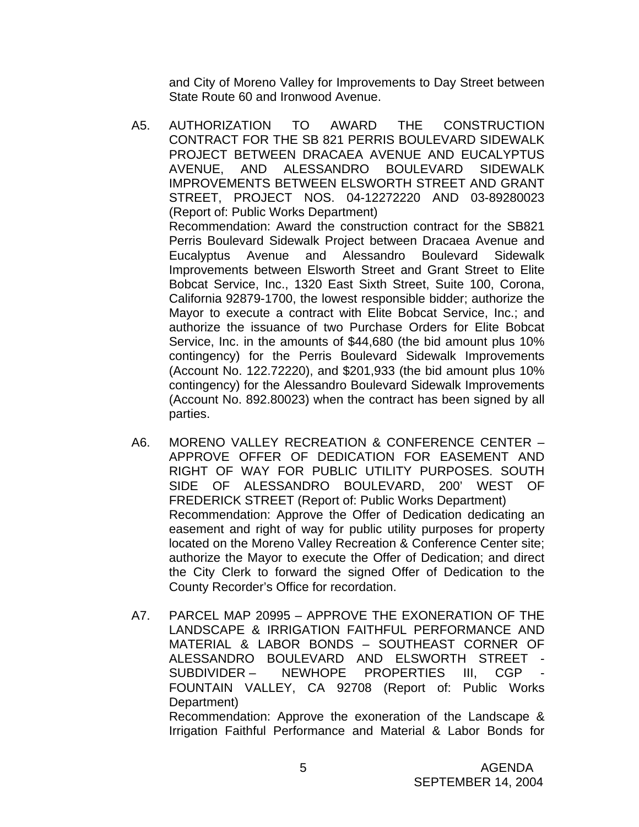and City of Moreno Valley for Improvements to Day Street between State Route 60 and Ironwood Avenue.

- A5. AUTHORIZATION TO AWARD THE CONSTRUCTION CONTRACT FOR THE SB 821 PERRIS BOULEVARD SIDEWALK PROJECT BETWEEN DRACAEA AVENUE AND EUCALYPTUS AVENUE, AND ALESSANDRO BOULEVARD SIDEWALK IMPROVEMENTS BETWEEN ELSWORTH STREET AND GRANT STREET, PROJECT NOS. 04-12272220 AND 03-89280023 (Report of: Public Works Department) Recommendation: Award the construction contract for the SB821 Perris Boulevard Sidewalk Project between Dracaea Avenue and Eucalyptus Avenue and Alessandro Boulevard Sidewalk Improvements between Elsworth Street and Grant Street to Elite Bobcat Service, Inc., 1320 East Sixth Street, Suite 100, Corona, California 92879-1700, the lowest responsible bidder; authorize the Mayor to execute a contract with Elite Bobcat Service, Inc.; and authorize the issuance of two Purchase Orders for Elite Bobcat Service, Inc. in the amounts of \$44,680 (the bid amount plus 10% contingency) for the Perris Boulevard Sidewalk Improvements (Account No. 122.72220), and \$201,933 (the bid amount plus 10% contingency) for the Alessandro Boulevard Sidewalk Improvements (Account No. 892.80023) when the contract has been signed by all parties.
- A6. MORENO VALLEY RECREATION & CONFERENCE CENTER APPROVE OFFER OF DEDICATION FOR EASEMENT AND RIGHT OF WAY FOR PUBLIC UTILITY PURPOSES. SOUTH SIDE OF ALESSANDRO BOULEVARD, 200' WEST OF FREDERICK STREET (Report of: Public Works Department) Recommendation: Approve the Offer of Dedication dedicating an easement and right of way for public utility purposes for property located on the Moreno Valley Recreation & Conference Center site; authorize the Mayor to execute the Offer of Dedication; and direct the City Clerk to forward the signed Offer of Dedication to the County Recorder's Office for recordation.
- A7. PARCEL MAP 20995 APPROVE THE EXONERATION OF THE LANDSCAPE & IRRIGATION FAITHFUL PERFORMANCE AND MATERIAL & LABOR BONDS – SOUTHEAST CORNER OF ALESSANDRO BOULEVARD AND ELSWORTH STREET - SUBDIVIDER – NEWHOPE PROPERTIES III, CGP FOUNTAIN VALLEY, CA 92708 (Report of: Public Works Department) Recommendation: Approve the exoneration of the Landscape & Irrigation Faithful Performance and Material & Labor Bonds for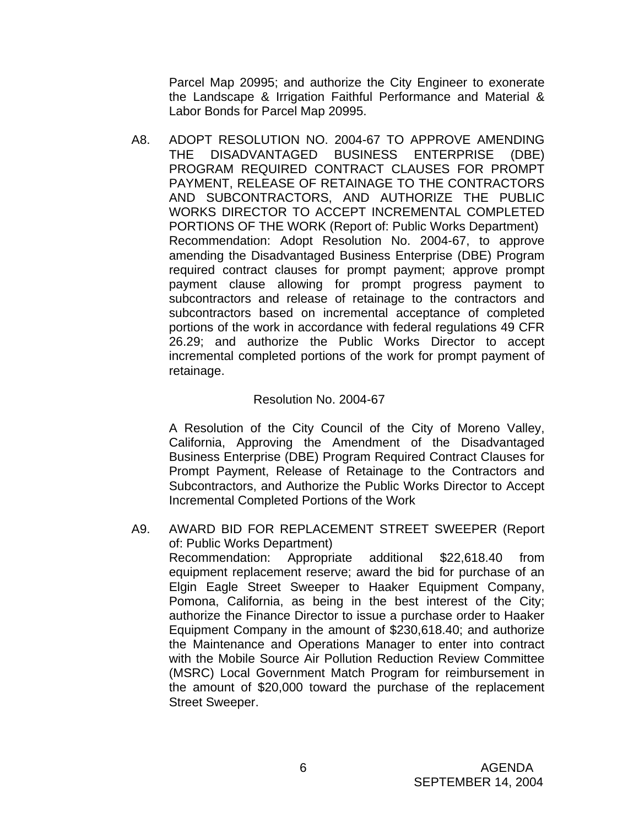Parcel Map 20995; and authorize the City Engineer to exonerate the Landscape & Irrigation Faithful Performance and Material & Labor Bonds for Parcel Map 20995.

 A8. ADOPT RESOLUTION NO. 2004-67 TO APPROVE AMENDING THE DISADVANTAGED BUSINESS ENTERPRISE (DBE) PROGRAM REQUIRED CONTRACT CLAUSES FOR PROMPT PAYMENT, RELEASE OF RETAINAGE TO THE CONTRACTORS AND SUBCONTRACTORS, AND AUTHORIZE THE PUBLIC WORKS DIRECTOR TO ACCEPT INCREMENTAL COMPLETED PORTIONS OF THE WORK (Report of: Public Works Department) Recommendation: Adopt Resolution No. 2004-67, to approve amending the Disadvantaged Business Enterprise (DBE) Program required contract clauses for prompt payment; approve prompt payment clause allowing for prompt progress payment to subcontractors and release of retainage to the contractors and subcontractors based on incremental acceptance of completed portions of the work in accordance with federal regulations 49 CFR 26.29; and authorize the Public Works Director to accept incremental completed portions of the work for prompt payment of retainage.

#### Resolution No. 2004-67

 A Resolution of the City Council of the City of Moreno Valley, California, Approving the Amendment of the Disadvantaged Business Enterprise (DBE) Program Required Contract Clauses for Prompt Payment, Release of Retainage to the Contractors and Subcontractors, and Authorize the Public Works Director to Accept Incremental Completed Portions of the Work

A9. AWARD BID FOR REPLACEMENT STREET SWEEPER (Report of: Public Works Department)

 Recommendation: Appropriate additional \$22,618.40 from equipment replacement reserve; award the bid for purchase of an Elgin Eagle Street Sweeper to Haaker Equipment Company, Pomona, California, as being in the best interest of the City; authorize the Finance Director to issue a purchase order to Haaker Equipment Company in the amount of \$230,618.40; and authorize the Maintenance and Operations Manager to enter into contract with the Mobile Source Air Pollution Reduction Review Committee (MSRC) Local Government Match Program for reimbursement in the amount of \$20,000 toward the purchase of the replacement Street Sweeper.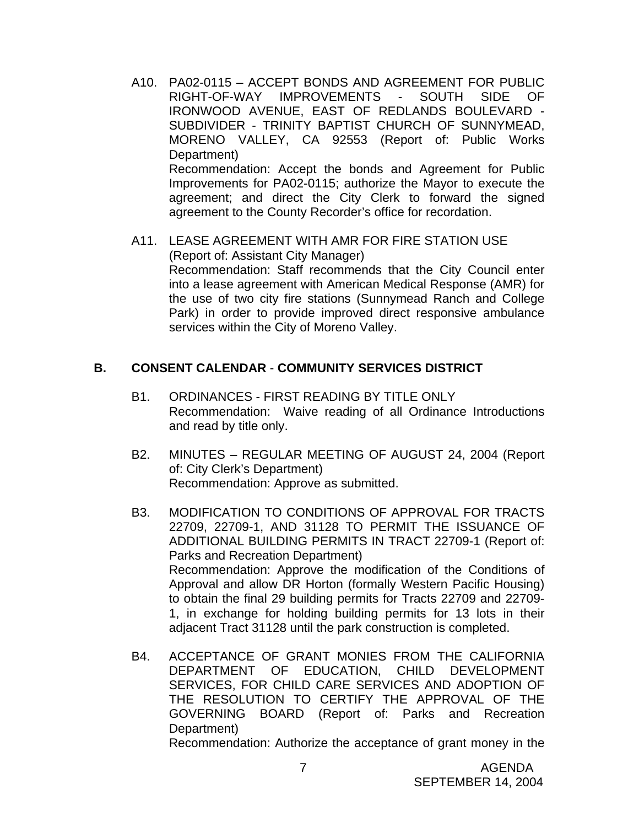- A10. PA02-0115 ACCEPT BONDS AND AGREEMENT FOR PUBLIC RIGHT-OF-WAY IMPROVEMENTS - SOUTH SIDE OF IRONWOOD AVENUE, EAST OF REDLANDS BOULEVARD - SUBDIVIDER - TRINITY BAPTIST CHURCH OF SUNNYMEAD, MORENO VALLEY, CA 92553 (Report of: Public Works Department) Recommendation: Accept the bonds and Agreement for Public Improvements for PA02-0115; authorize the Mayor to execute the agreement; and direct the City Clerk to forward the signed agreement to the County Recorder's office for recordation.
- A11. LEASE AGREEMENT WITH AMR FOR FIRE STATION USE (Report of: Assistant City Manager) Recommendation: Staff recommends that the City Council enter into a lease agreement with American Medical Response (AMR) for the use of two city fire stations (Sunnymead Ranch and College Park) in order to provide improved direct responsive ambulance services within the City of Moreno Valley.

#### **B. CONSENT CALENDAR** - **COMMUNITY SERVICES DISTRICT**

- B1. ORDINANCES FIRST READING BY TITLE ONLY Recommendation: Waive reading of all Ordinance Introductions and read by title only.
- B2. MINUTES REGULAR MEETING OF AUGUST 24, 2004 (Report of: City Clerk's Department) Recommendation: Approve as submitted.
- B3. MODIFICATION TO CONDITIONS OF APPROVAL FOR TRACTS 22709, 22709-1, AND 31128 TO PERMIT THE ISSUANCE OF ADDITIONAL BUILDING PERMITS IN TRACT 22709-1 (Report of: Parks and Recreation Department) Recommendation: Approve the modification of the Conditions of Approval and allow DR Horton (formally Western Pacific Housing) to obtain the final 29 building permits for Tracts 22709 and 22709- 1, in exchange for holding building permits for 13 lots in their adjacent Tract 31128 until the park construction is completed.
- B4. ACCEPTANCE OF GRANT MONIES FROM THE CALIFORNIA DEPARTMENT OF EDUCATION, CHILD DEVELOPMENT SERVICES, FOR CHILD CARE SERVICES AND ADOPTION OF THE RESOLUTION TO CERTIFY THE APPROVAL OF THE GOVERNING BOARD (Report of: Parks and Recreation Department)

Recommendation: Authorize the acceptance of grant money in the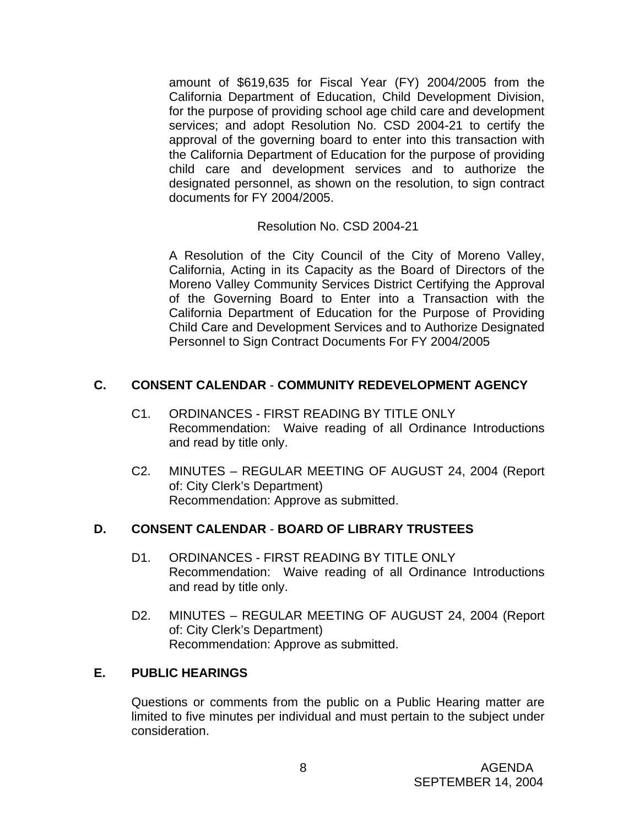amount of \$619,635 for Fiscal Year (FY) 2004/2005 from the California Department of Education, Child Development Division, for the purpose of providing school age child care and development services; and adopt Resolution No. CSD 2004-21 to certify the approval of the governing board to enter into this transaction with the California Department of Education for the purpose of providing child care and development services and to authorize the designated personnel, as shown on the resolution, to sign contract documents for FY 2004/2005.

#### Resolution No. CSD 2004-21

 A Resolution of the City Council of the City of Moreno Valley, California, Acting in its Capacity as the Board of Directors of the Moreno Valley Community Services District Certifying the Approval of the Governing Board to Enter into a Transaction with the California Department of Education for the Purpose of Providing Child Care and Development Services and to Authorize Designated Personnel to Sign Contract Documents For FY 2004/2005

## **C. CONSENT CALENDAR** - **COMMUNITY REDEVELOPMENT AGENCY**

- C1. ORDINANCES FIRST READING BY TITLE ONLY Recommendation: Waive reading of all Ordinance Introductions and read by title only.
- C2. MINUTES REGULAR MEETING OF AUGUST 24, 2004 (Report of: City Clerk's Department) Recommendation: Approve as submitted.

## **D. CONSENT CALENDAR** - **BOARD OF LIBRARY TRUSTEES**

- D1. ORDINANCES FIRST READING BY TITLE ONLY Recommendation: Waive reading of all Ordinance Introductions and read by title only.
- D2. MINUTES REGULAR MEETING OF AUGUST 24, 2004 (Report of: City Clerk's Department) Recommendation: Approve as submitted.

# **E. PUBLIC HEARINGS**

Questions or comments from the public on a Public Hearing matter are limited to five minutes per individual and must pertain to the subject under consideration.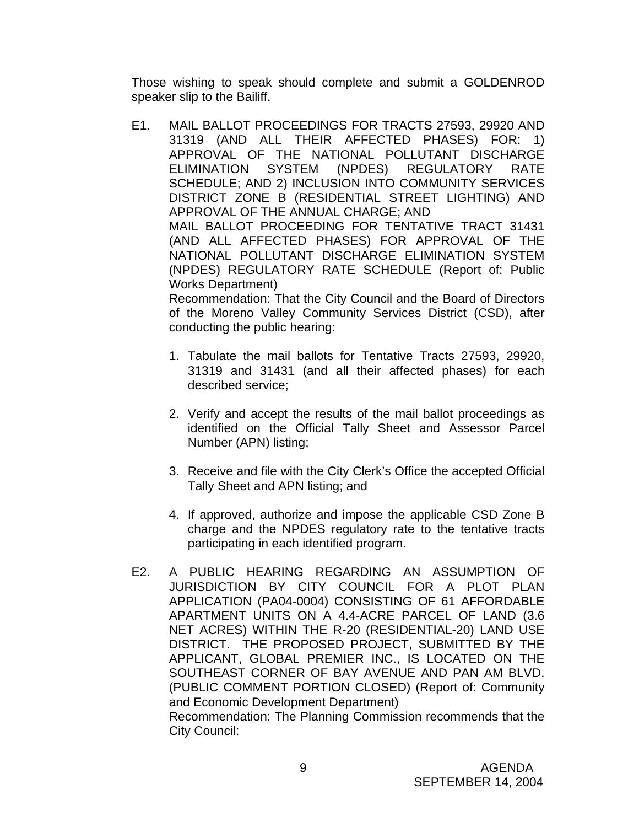Those wishing to speak should complete and submit a GOLDENROD speaker slip to the Bailiff.

 E1. MAIL BALLOT PROCEEDINGS FOR TRACTS 27593, 29920 AND 31319 (AND ALL THEIR AFFECTED PHASES) FOR: 1) APPROVAL OF THE NATIONAL POLLUTANT DISCHARGE ELIMINATION SYSTEM (NPDES) REGULATORY RATE SCHEDULE; AND 2) INCLUSION INTO COMMUNITY SERVICES DISTRICT ZONE B (RESIDENTIAL STREET LIGHTING) AND APPROVAL OF THE ANNUAL CHARGE; AND MAIL BALLOT PROCEEDING FOR TENTATIVE TRACT 31431 (AND ALL AFFECTED PHASES) FOR APPROVAL OF THE NATIONAL POLLUTANT DISCHARGE ELIMINATION SYSTEM (NPDES) REGULATORY RATE SCHEDULE (Report of: Public Works Department)

 Recommendation: That the City Council and the Board of Directors of the Moreno Valley Community Services District (CSD), after conducting the public hearing:

- 1. Tabulate the mail ballots for Tentative Tracts 27593, 29920, 31319 and 31431 (and all their affected phases) for each described service;
- 2. Verify and accept the results of the mail ballot proceedings as identified on the Official Tally Sheet and Assessor Parcel Number (APN) listing;
- 3. Receive and file with the City Clerk's Office the accepted Official Tally Sheet and APN listing; and
- 4. If approved, authorize and impose the applicable CSD Zone B charge and the NPDES regulatory rate to the tentative tracts participating in each identified program.
- E2. A PUBLIC HEARING REGARDING AN ASSUMPTION OF JURISDICTION BY CITY COUNCIL FOR A PLOT PLAN APPLICATION (PA04-0004) CONSISTING OF 61 AFFORDABLE APARTMENT UNITS ON A 4.4-ACRE PARCEL OF LAND (3.6 NET ACRES) WITHIN THE R-20 (RESIDENTIAL-20) LAND USE DISTRICT. THE PROPOSED PROJECT, SUBMITTED BY THE APPLICANT, GLOBAL PREMIER INC., IS LOCATED ON THE SOUTHEAST CORNER OF BAY AVENUE AND PAN AM BLVD. (PUBLIC COMMENT PORTION CLOSED) (Report of: Community and Economic Development Department) Recommendation: The Planning Commission recommends that the City Council: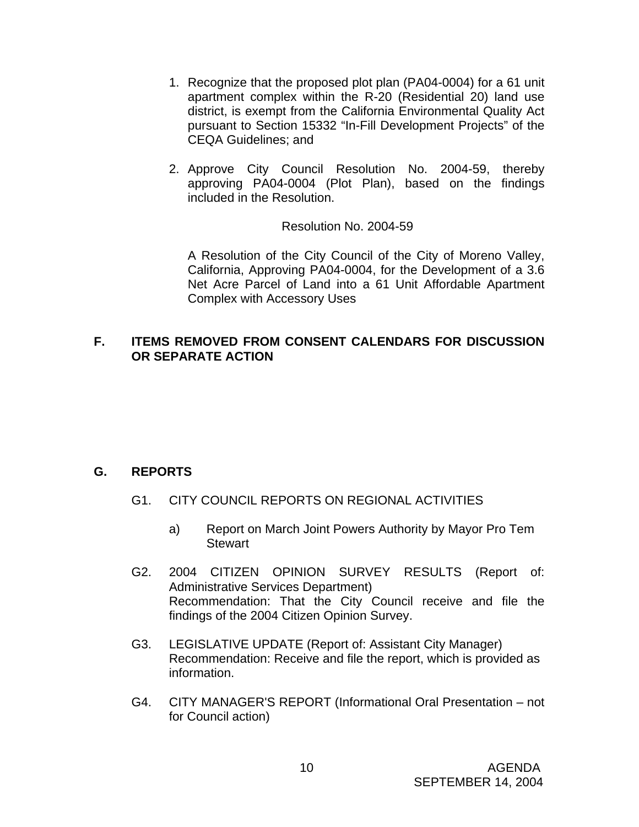- 1. Recognize that the proposed plot plan (PA04-0004) for a 61 unit apartment complex within the R-20 (Residential 20) land use district, is exempt from the California Environmental Quality Act pursuant to Section 15332 "In-Fill Development Projects" of the CEQA Guidelines; and
- 2. Approve City Council Resolution No. 2004-59, thereby approving PA04-0004 (Plot Plan), based on the findings included in the Resolution.

Resolution No. 2004-59

 A Resolution of the City Council of the City of Moreno Valley, California, Approving PA04-0004, for the Development of a 3.6 Net Acre Parcel of Land into a 61 Unit Affordable Apartment Complex with Accessory Uses

## **F. ITEMS REMOVED FROM CONSENT CALENDARS FOR DISCUSSION OR SEPARATE ACTION**

# **G. REPORTS**

- G1. CITY COUNCIL REPORTS ON REGIONAL ACTIVITIES
	- a) Report on March Joint Powers Authority by Mayor Pro Tem **Stewart**
- G2. 2004 CITIZEN OPINION SURVEY RESULTS (Report of: Administrative Services Department) Recommendation: That the City Council receive and file the findings of the 2004 Citizen Opinion Survey.
- G3. LEGISLATIVE UPDATE (Report of: Assistant City Manager) Recommendation: Receive and file the report, which is provided as information.
- G4. CITY MANAGER'S REPORT (Informational Oral Presentation not for Council action)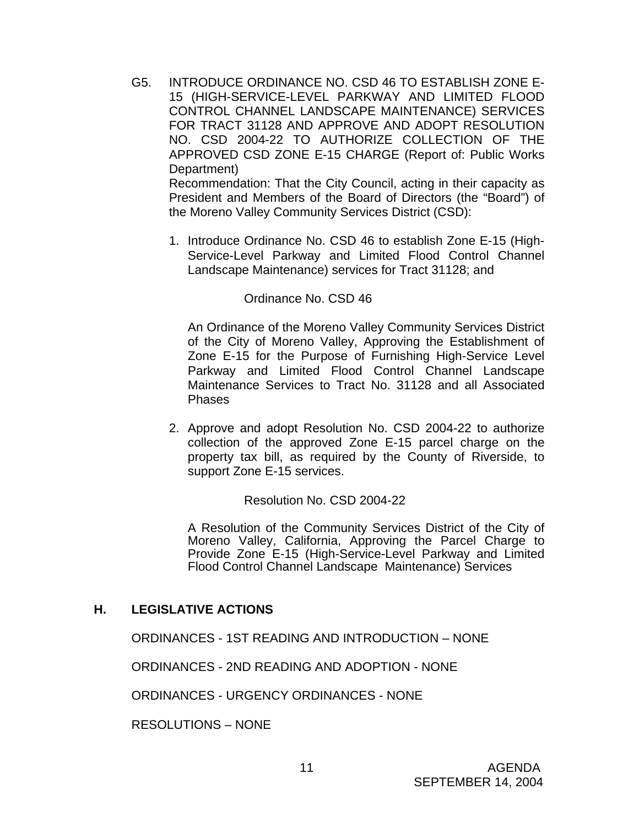G5. INTRODUCE ORDINANCE NO. CSD 46 TO ESTABLISH ZONE E-15 (HIGH-SERVICE-LEVEL PARKWAY AND LIMITED FLOOD CONTROL CHANNEL LANDSCAPE MAINTENANCE) SERVICES FOR TRACT 31128 AND APPROVE AND ADOPT RESOLUTION NO. CSD 2004-22 TO AUTHORIZE COLLECTION OF THE APPROVED CSD ZONE E-15 CHARGE (Report of: Public Works Department)

 Recommendation: That the City Council, acting in their capacity as President and Members of the Board of Directors (the "Board") of the Moreno Valley Community Services District (CSD):

1. Introduce Ordinance No. CSD 46 to establish Zone E-15 (High-Service-Level Parkway and Limited Flood Control Channel Landscape Maintenance) services for Tract 31128; and

## Ordinance No. CSD 46

 An Ordinance of the Moreno Valley Community Services District of the City of Moreno Valley, Approving the Establishment of Zone E-15 for the Purpose of Furnishing High-Service Level Parkway and Limited Flood Control Channel Landscape Maintenance Services to Tract No. 31128 and all Associated Phases

2. Approve and adopt Resolution No. CSD 2004-22 to authorize collection of the approved Zone E-15 parcel charge on the property tax bill, as required by the County of Riverside, to support Zone E-15 services.

Resolution No. CSD 2004-22

A Resolution of the Community Services District of the City of Moreno Valley, California, Approving the Parcel Charge to Provide Zone E-15 (High-Service-Level Parkway and Limited Flood Control Channel Landscape Maintenance) Services

## **H. LEGISLATIVE ACTIONS**

ORDINANCES - 1ST READING AND INTRODUCTION – NONE

ORDINANCES - 2ND READING AND ADOPTION - NONE

ORDINANCES - URGENCY ORDINANCES - NONE

RESOLUTIONS – NONE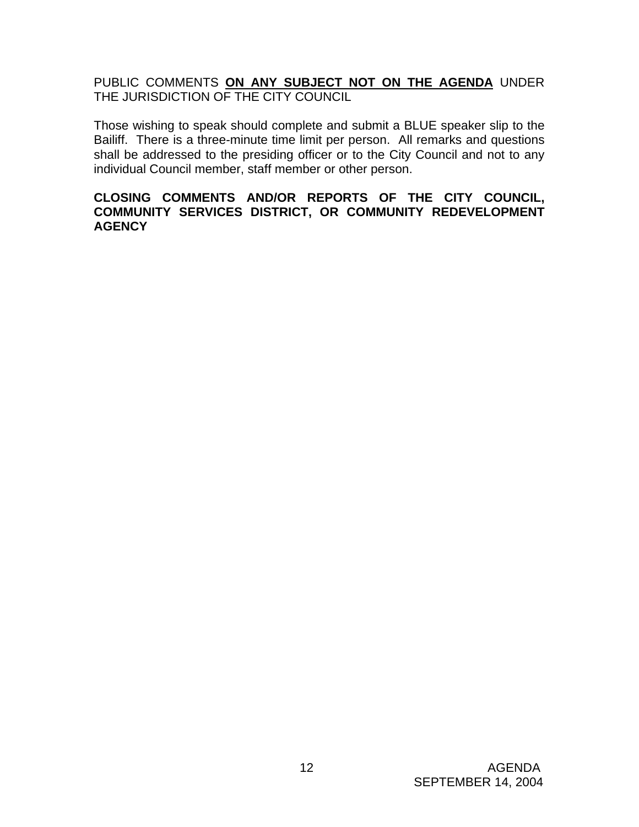PUBLIC COMMENTS **ON ANY SUBJECT NOT ON THE AGENDA** UNDER THE JURISDICTION OF THE CITY COUNCIL

Those wishing to speak should complete and submit a BLUE speaker slip to the Bailiff. There is a three-minute time limit per person. All remarks and questions shall be addressed to the presiding officer or to the City Council and not to any individual Council member, staff member or other person.

# **CLOSING COMMENTS AND/OR REPORTS OF THE CITY COUNCIL, COMMUNITY SERVICES DISTRICT, OR COMMUNITY REDEVELOPMENT AGENCY**